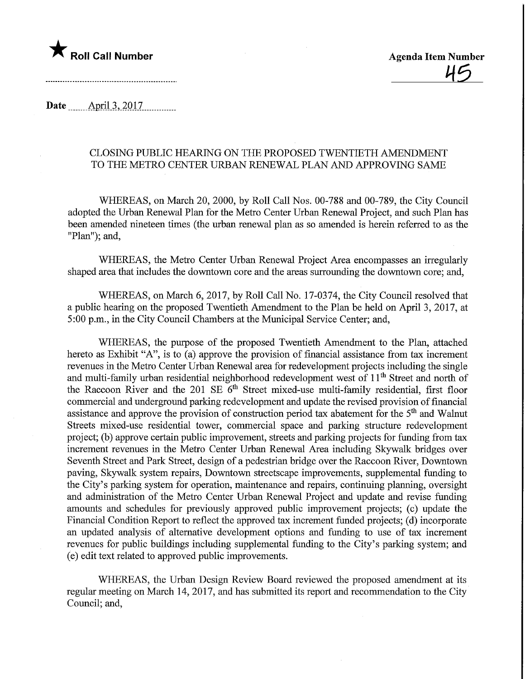

Date .......\_April.3,.2Q17.

## CLOSING PUBLIC HEARING ON THE PROPOSED TWENTIETH AMENDMENT TO THE METRO CENTER URBAN RENEWAL PLAN AND APPROVING SAME

WHEREAS, on March 20, 2000, by Roll Call Nos. 00-788 and 00-789, the City Council adopted the Urban Renewal Plan for the Metro Center Urban Renewal Project, and such Plan has been amended nineteen times (the urban renewal plan as so amended is herein referred to as the "Plan"); and,

WHEREAS, the Metro Center Urban Renewal Project Area encompasses an irregulariy shaped area that includes the downtown core and the areas surrounding the downtown core; and,

WHEREAS, on March 6, 2017, by Roll Call No. 17-0374, the City Council resolved that a public hearing on the proposed Twentieth Amendment to the Plan be held on April 3,2017, at 5:00 p.m., in the City Council Chambers at the Municipal Service Center; and,

WHEREAS, the purpose of the proposed Twentieth Amendment to the Plan, attached hereto as Exhibit "A", is to (a) approve the provision of financial assistance from tax increment revenues in the Metro Center Urban Renewal area for redevelopment projects including the single and multi-family urban residential neighborhood redevelopment west of 11<sup>th</sup> Street and north of the Raccoon River and the 201 SE  $6<sup>th</sup>$  Street mixed-use multi-family residential, first floor commercial and underground parking redevelopment and update the revised provision of financial assistance and approve the provision of construction period tax abatement for the 5th and Walnut Streets mixed-use residential tower, commercial space and parking structure redevelopment project; (b) approve certain public improvement, streets and parking projects for funding from tax increment revenues in the Metro Center Urban Renewal Area including Skywalk bridges over Seventh Street and Park Street, design of a pedestrian bridge over the Raccoon River, Downtown paving, Skywalk system repairs. Downtown streetscape improvements, supplemental funding to the City's parking system for operation, maintenance and repairs, continuing planning, oversight and administration of the Metro Center Urban Renewal Project and update and revise funding amounts and schedules for previously approved public improvement projects; (c) update the Financial Condition Report to reflect the approved tax increment funded projects; (d) incorporate an updated analysis of alternative development options and funding to use of tax increment revenues for public buildings including supplemental funding to the City's parking system; and (e) edit text related to approved public improvements.

WHEREAS, the Urban Design Review Board reviewed the proposed amendment at its regular meeting on March 14, 2017, and has submitted its report and recommendation to the City Council; and,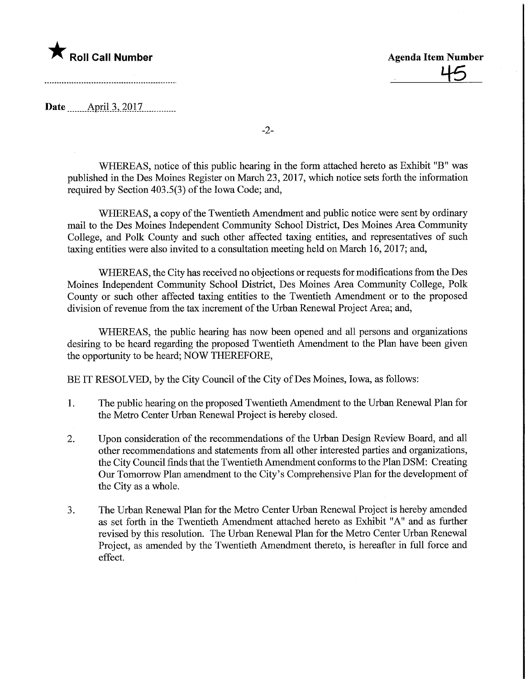## **Agenda Item Number Agenda Item Number** Agenda Item Number

45

Date April.3, 2017

WHEREAS, notice of this public hearing in the form attached hereto as Exhibit "B" was published in the Des Moines Register on March 23, 2017, which notice sets forth the information required by Section 403.5(3) of the Iowa Code; and,

-2-

WHEREAS, a copy of the Twentieth Amendment and public notice were sent by ordinary mail to the Des Moines Independent Community School District, Des Moines Area Community College, and Polk County and such other affected taxing entities, and representatives of such taxing entities were also invited to a consultation meeting held on March 16, 2017; and,

WHEREAS, the City has received no objections or requests for modifications from the Des Moines Independent Community School District, Des Moines Area Community College, Polk County or such other affected taxing entities to the Twentieth Amendment or to the proposed division of revenue from the tax increment of the Urban Renewal Project Area; and,

WHEREAS, the public hearing has now been opened and all persons and organizations desiring to be heard regarding the proposed Twentieth Amendment to the Plan have been given the opportunity to be heard; NOW THEREFORE,

BE IT RESOLVED, by the City Council of the City of Des Moines, Iowa, as follows:

- 1. The public hearing on the proposed Twentieth Amendment to the Urban Renewal Plan for the Metro Center Urban Renewal Project is hereby closed.
- 2. Upon consideration of the recommendations of the Urban Design Review Board, and all other recommendations and statements from all other interested parties and organizations, the City Council finds that the Twentieth Amendment conforms to the Plan DSM: Creating Our Tomorrow Plan amendment to the City's Comprehensive Plan for the development of the City as a whole.
- 3. The Urban Renewal Plan for the Metro Center Urban Renewal Project is hereby amended as set forth in the Twentieth Amendment attached hereto as Exhibit "A" and as further revised by this resolution. The Urban Renewal Plan for the Metro Center Urban Renewal Project, as amended by the Twentieth Amendment thereto, is hereafter in full force and effect.